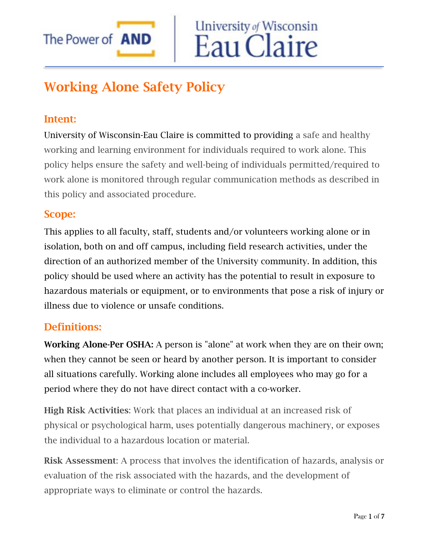

# Working Alone Safety Policy

# Intent:

University of Wisconsin-Eau Claire is committed to providing a safe and healthy working and learning environment for individuals required to work alone. This policy helps ensure the safety and well-being of individuals permitted/required to work alone is monitored through regular communication methods as described in this policy and associated procedure.

University of Wisconsin

Eau Claire

## Scope:

This applies to all faculty, staff, students and/or volunteers working alone or in isolation, both on and off campus, including field research activities, under the direction of an authorized member of the University community. In addition, this policy should be used where an activity has the potential to result in exposure to hazardous materials or equipment, or to environments that pose a risk of injury or illness due to violence or unsafe conditions.

## Definitions:

Working Alone-Per OSHA: A person is "alone" at work when they are on their own; when they cannot be seen or heard by another person. It is important to consider all situations carefully. Working alone includes all employees who may go for a period where they do not have direct contact with a co-worker.

High Risk Activities: Work that places an individual at an increased risk of physical or psychological harm, uses potentially dangerous machinery, or exposes the individual to a hazardous location or material.

Risk Assessment: A process that involves the identification of hazards, analysis or evaluation of the risk associated with the hazards, and the development of appropriate ways to eliminate or control the hazards.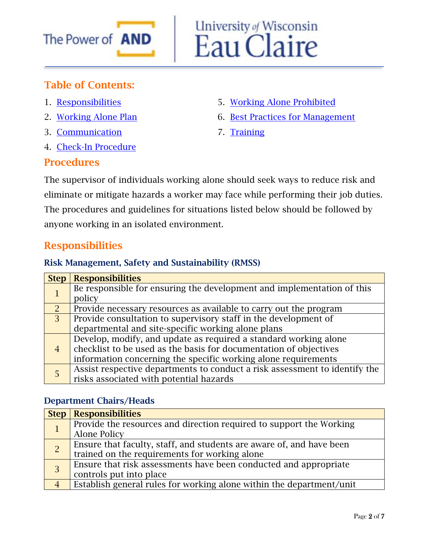

# University of Wisconsin<br>Eau Claire

# Table of Contents:

- 1. [Responsibilities](#page-1-0)
- 2. [Working Alone Plan](#page-2-0)
- 3. [Communication](#page-3-0)
- 4. [Check-In Procedure](#page-4-0)

#### Procedures

- 5. [Working Alone Prohibited](#page-4-1)
- 6. [Best Practices for Management](#page-5-0)
- 7. [Training](#page-6-0)

The supervisor of individuals working alone should seek ways to reduce risk and eliminate or mitigate hazards a worker may face while performing their job duties. The procedures and guidelines for situations listed below should be followed by anyone working in an isolated environment.

# <span id="page-1-0"></span>Responsibilities

#### Risk Management, Safety and Sustainability (RMSS)

| <b>Step</b>    | <b>Responsibilities</b>                                                    |  |
|----------------|----------------------------------------------------------------------------|--|
|                | Be responsible for ensuring the development and implementation of this     |  |
|                | policy                                                                     |  |
| $\mathcal{P}$  | Provide necessary resources as available to carry out the program          |  |
| $\overline{3}$ | Provide consultation to supervisory staff in the development of            |  |
|                | departmental and site-specific working alone plans                         |  |
| $\overline{4}$ | Develop, modify, and update as required a standard working alone           |  |
|                | checklist to be used as the basis for documentation of objectives          |  |
|                | information concerning the specific working alone requirements             |  |
| 5              | Assist respective departments to conduct a risk assessment to identify the |  |
|                | risks associated with potential hazards                                    |  |

#### Department Chairs/Heads

| <b>Step</b>    | <b>Responsibilities</b>                                                                                               |
|----------------|-----------------------------------------------------------------------------------------------------------------------|
|                | Provide the resources and direction required to support the Working<br>Alone Policy                                   |
| $\overline{2}$ | Ensure that faculty, staff, and students are aware of, and have been<br>trained on the requirements for working alone |
| $\overline{3}$ | Ensure that risk assessments have been conducted and appropriate<br>controls put into place                           |
|                | Establish general rules for working alone within the department/unit                                                  |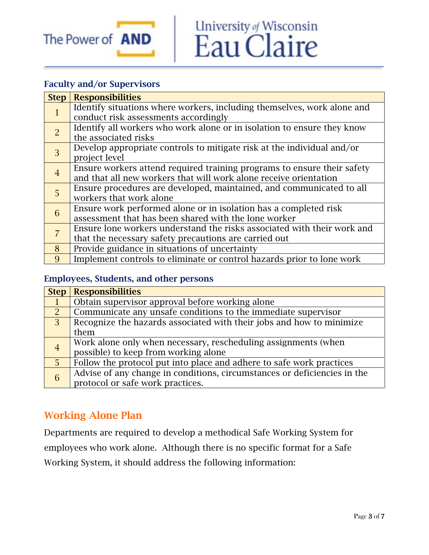

# University of Wisconsin<br>Eau Claire

#### Faculty and/or Supervisors

| <b>Step</b>    | <b>Responsibilities</b>                                                 |
|----------------|-------------------------------------------------------------------------|
| $\mathbf{1}$   | Identify situations where workers, including themselves, work alone and |
|                | conduct risk assessments accordingly                                    |
| $\overline{2}$ | Identify all workers who work alone or in isolation to ensure they know |
|                | the associated risks                                                    |
| $\overline{3}$ | Develop appropriate controls to mitigate risk at the individual and/or  |
|                | project level                                                           |
| $\overline{4}$ | Ensure workers attend required training programs to ensure their safety |
|                | and that all new workers that will work alone receive orientation       |
| 5              | Ensure procedures are developed, maintained, and communicated to all    |
|                | workers that work alone                                                 |
| 6              | Ensure work performed alone or in isolation has a completed risk        |
|                | assessment that has been shared with the lone worker                    |
| $\overline{7}$ | Ensure lone workers understand the risks associated with their work and |
|                | that the necessary safety precautions are carried out                   |
| 8              | Provide guidance in situations of uncertainty                           |
| 9              | Implement controls to eliminate or control hazards prior to lone work   |

#### Employees, Students, and other persons

|                | <b>Step   Responsibilities</b>                                           |  |
|----------------|--------------------------------------------------------------------------|--|
|                | Obtain supervisor approval before working alone                          |  |
| $\mathcal{P}$  | Communicate any unsafe conditions to the immediate supervisor            |  |
| $\overline{3}$ | Recognize the hazards associated with their jobs and how to minimize     |  |
|                | them                                                                     |  |
| $\overline{4}$ | Work alone only when necessary, rescheduling assignments (when           |  |
|                | possible) to keep from working alone                                     |  |
| 5 <sup>5</sup> | Follow the protocol put into place and adhere to safe work practices     |  |
| 6              | Advise of any change in conditions, circumstances or deficiencies in the |  |
|                | protocol or safe work practices.                                         |  |

# <span id="page-2-0"></span>Working Alone Plan

Departments are required to develop a methodical Safe Working System for employees who work alone. Although there is no specific format for a Safe Working System, it should address the following information: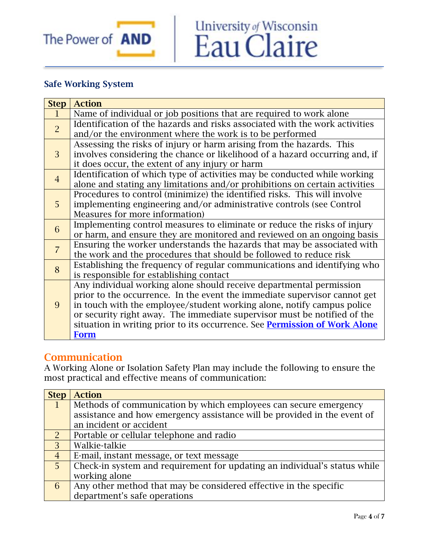

## Safe Working System

| <b>Step</b>    | <b>Action</b>                                                                     |  |
|----------------|-----------------------------------------------------------------------------------|--|
| $\mathbf 1$    | Name of individual or job positions that are required to work alone               |  |
| $\overline{2}$ | Identification of the hazards and risks associated with the work activities       |  |
|                | and/or the environment where the work is to be performed                          |  |
|                | Assessing the risks of injury or harm arising from the hazards. This              |  |
| 3              | involves considering the chance or likelihood of a hazard occurring and, if       |  |
|                | it does occur, the extent of any injury or harm                                   |  |
| $\overline{4}$ | Identification of which type of activities may be conducted while working         |  |
|                | alone and stating any limitations and/or prohibitions on certain activities       |  |
|                | Procedures to control (minimize) the identified risks. This will involve          |  |
| 5 <sup>1</sup> | implementing engineering and/or administrative controls (see Control              |  |
|                | Measures for more information)                                                    |  |
| 6              | Implementing control measures to eliminate or reduce the risks of injury          |  |
|                | or harm, and ensure they are monitored and reviewed on an ongoing basis           |  |
| $\overline{7}$ | Ensuring the worker understands the hazards that may be associated with           |  |
|                | the work and the procedures that should be followed to reduce risk                |  |
| 8              | Establishing the frequency of regular communications and identifying who          |  |
|                | is responsible for establishing contact                                           |  |
|                | Any individual working alone should receive departmental permission               |  |
|                | prior to the occurrence. In the event the immediate supervisor cannot get         |  |
| 9              | in touch with the employee/student working alone, notify campus police            |  |
|                | or security right away. The immediate supervisor must be notified of the          |  |
|                | situation in writing prior to its occurrence. See <b>Permission of Work Alone</b> |  |
|                | <b>Form</b>                                                                       |  |

University of Wisconsin<br>Eau Claire

#### <span id="page-3-0"></span>**Communication**

A Working Alone or Isolation Safety Plan may include the following to ensure the most practical and effective means of communication:

| <b>Step</b>    | <b>Action</b>                                                             |  |
|----------------|---------------------------------------------------------------------------|--|
| $\mathbf{1}$   | Methods of communication by which employees can secure emergency          |  |
|                | assistance and how emergency assistance will be provided in the event of  |  |
|                | an incident or accident                                                   |  |
| $\overline{2}$ | Portable or cellular telephone and radio                                  |  |
| 3              | Walkie-talkie                                                             |  |
| $\overline{4}$ | E-mail, instant message, or text message                                  |  |
| 5 <sup>1</sup> | Check-in system and requirement for updating an individual's status while |  |
|                | working alone                                                             |  |
| 6              | Any other method that may be considered effective in the specific         |  |
|                | department's safe operations                                              |  |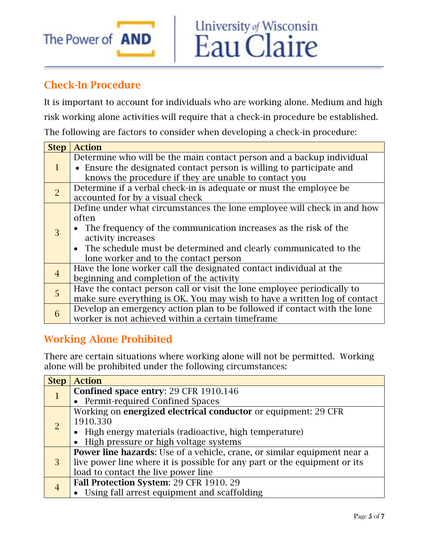

# <span id="page-4-0"></span>Check-In Procedure

It is important to account for individuals who are working alone. Medium and high risk working alone activities will require that a check-in procedure be established. The following are factors to consider when developing a check-in procedure:

| <b>Step</b>    | <b>Action</b>                                                             |  |
|----------------|---------------------------------------------------------------------------|--|
| $\mathbf{1}$   | Determine who will be the main contact person and a backup individual     |  |
|                | • Ensure the designated contact person is willing to participate and      |  |
|                | knows the procedure if they are unable to contact you                     |  |
| $\overline{2}$ | Determine if a verbal check-in is adequate or must the employee be        |  |
|                | accounted for by a visual check                                           |  |
|                | Define under what circumstances the lone employee will check in and how   |  |
|                | often                                                                     |  |
| 3              | • The frequency of the communication increases as the risk of the         |  |
|                | activity increases                                                        |  |
|                | • The schedule must be determined and clearly communicated to the         |  |
|                | lone worker and to the contact person                                     |  |
| $\overline{4}$ | Have the lone worker call the designated contact individual at the        |  |
|                | beginning and completion of the activity                                  |  |
| 5              | Have the contact person call or visit the lone employee periodically to   |  |
|                | make sure everything is OK. You may wish to have a written log of contact |  |
| 6              | Develop an emergency action plan to be followed if contact with the lone  |  |
|                | worker is not achieved within a certain timeframe                         |  |

# <span id="page-4-1"></span>Working Alone Prohibited

There are certain situations where working alone will not be permitted. Working alone will be prohibited under the following circumstances:

| <b>Step</b>    | <b>Action</b>                                                             |  |
|----------------|---------------------------------------------------------------------------|--|
| $\mathbf{1}$   | Confined space entry: 29 CFR 1910.146                                     |  |
|                | • Permit-required Confined Spaces                                         |  |
| $\overline{2}$ | Working on energized electrical conductor or equipment: 29 CFR            |  |
|                | 1910.330                                                                  |  |
|                | • High energy materials (radioactive, high temperature)                   |  |
|                | • High pressure or high voltage systems                                   |  |
| 3              | Power line hazards: Use of a vehicle, crane, or similar equipment near a  |  |
|                | live power line where it is possible for any part or the equipment or its |  |
|                | load to contact the live power line                                       |  |
|                | Fall Protection System: 29 CFR 1910. 29                                   |  |
|                | • Using fall arrest equipment and scaffolding                             |  |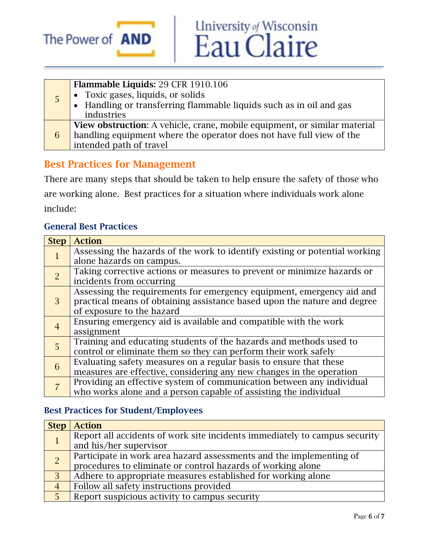

|   | Flammable Liquids: 29 CFR 1910.106                                                                       |
|---|----------------------------------------------------------------------------------------------------------|
|   |                                                                                                          |
|   | • Toxic gases, liquids, or solids<br>• Handling or transferring flammable liquids such as in oil and gas |
|   | industries                                                                                               |
| 6 | <b>View obstruction:</b> A vehicle, crane, mobile equipment, or similar material                         |
|   | handling equipment where the operator does not have full view of the                                     |
|   | intended path of travel                                                                                  |

University of Wisconsin<br>Eau Claire

#### <span id="page-5-0"></span>Best Practices for Management

There are many steps that should be taken to help ensure the safety of those who are working alone. Best practices for a situation where individuals work alone include:

#### General Best Practices

| <b>Step</b>    | <b>Action</b>                                                               |
|----------------|-----------------------------------------------------------------------------|
| 1              | Assessing the hazards of the work to identify existing or potential working |
|                | alone hazards on campus.                                                    |
| $\overline{2}$ | Taking corrective actions or measures to prevent or minimize hazards or     |
|                | incidents from occurring                                                    |
| 3              | Assessing the requirements for emergency equipment, emergency aid and       |
|                | practical means of obtaining assistance based upon the nature and degree    |
|                | of exposure to the hazard                                                   |
| $\overline{4}$ | Ensuring emergency aid is available and compatible with the work            |
|                | assignment                                                                  |
| 5              | Training and educating students of the hazards and methods used to          |
|                | control or eliminate them so they can perform their work safely             |
| 6              | Evaluating safety measures on a regular basis to ensure that these          |
|                | measures are effective, considering any new changes in the operation        |
|                | Providing an effective system of communication between any individual       |
|                | who works alone and a person capable of assisting the individual            |

#### Best Practices for Student/Employees

| <b>Step</b>    | <b>Action</b>                                                              |  |
|----------------|----------------------------------------------------------------------------|--|
|                | Report all accidents of work site incidents immediately to campus security |  |
|                | and his/her supervisor                                                     |  |
| $\overline{2}$ | Participate in work area hazard assessments and the implementing of        |  |
|                | procedures to eliminate or control hazards of working alone                |  |
| $\overline{3}$ | Adhere to appropriate measures established for working alone               |  |
| $\overline{4}$ | Follow all safety instructions provided                                    |  |
| 5              | Report suspicious activity to campus security                              |  |